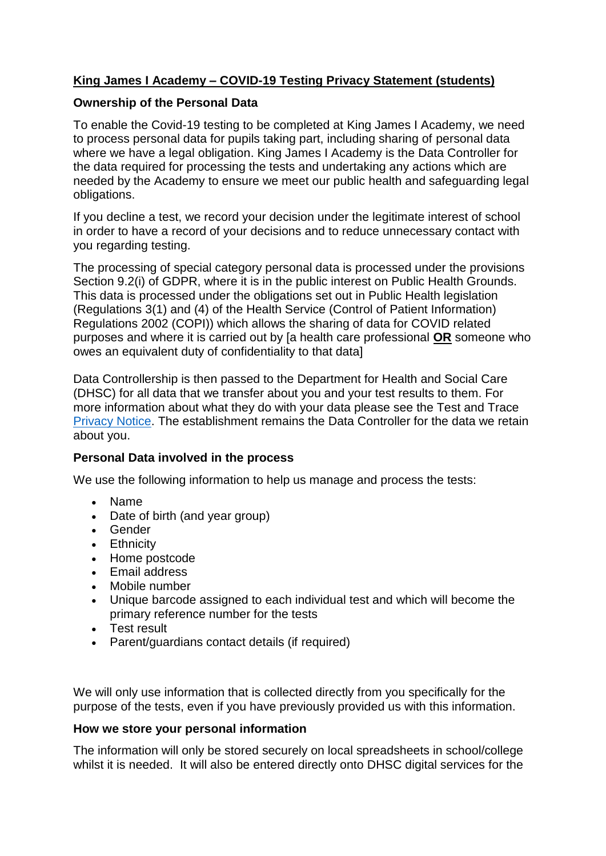# **King James I Academy – COVID-19 Testing Privacy Statement (students)**

### **Ownership of the Personal Data**

To enable the Covid-19 testing to be completed at King James I Academy, we need to process personal data for pupils taking part, including sharing of personal data where we have a legal obligation. King James I Academy is the Data Controller for the data required for processing the tests and undertaking any actions which are needed by the Academy to ensure we meet our public health and safeguarding legal obligations.

If you decline a test, we record your decision under the legitimate interest of school in order to have a record of your decisions and to reduce unnecessary contact with you regarding testing.

The processing of special category personal data is processed under the provisions Section 9.2(i) of GDPR, where it is in the public interest on Public Health Grounds. This data is processed under the obligations set out in Public Health legislation (Regulations 3(1) and (4) of the Health Service (Control of Patient Information) Regulations 2002 (COPI)) which allows the sharing of data for COVID related purposes and where it is carried out by [a health care professional **OR** someone who owes an equivalent duty of confidentiality to that data]

Data Controllership is then passed to the Department for Health and Social Care (DHSC) for all data that we transfer about you and your test results to them. For more information about what they do with your data please see the Test and Trace [Privacy Notice.](https://contact-tracing.phe.gov.uk/help/privacy-notice) The establishment remains the Data Controller for the data we retain about you.

### **Personal Data involved in the process**

We use the following information to help us manage and process the tests:

- Name
- Date of birth (and year group)
- Gender
- Ethnicity
- Home postcode
- Email address
- Mobile number
- Unique barcode assigned to each individual test and which will become the primary reference number for the tests
- Test result
- Parent/guardians contact details (if required)

We will only use information that is collected directly from you specifically for the purpose of the tests, even if you have previously provided us with this information.

### **How we store your personal information**

The information will only be stored securely on local spreadsheets in school/college whilst it is needed. It will also be entered directly onto DHSC digital services for the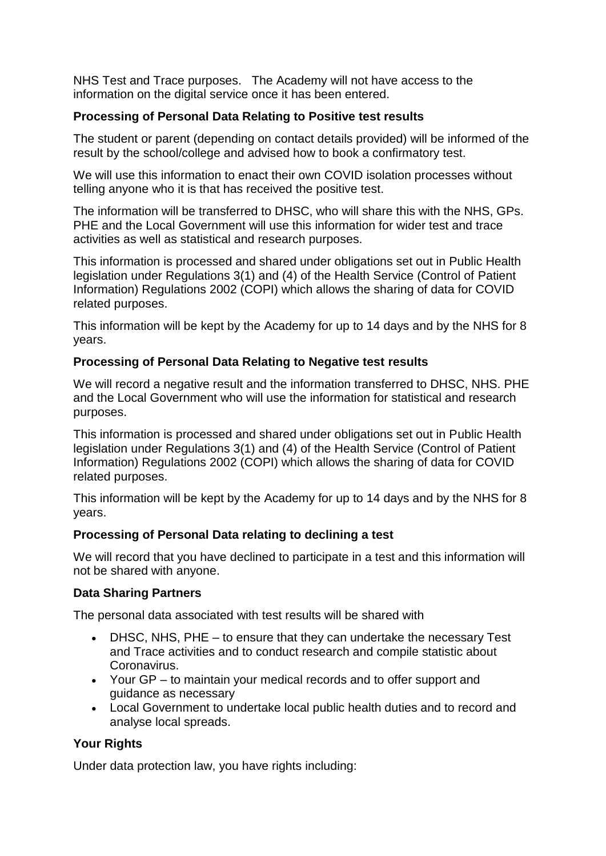NHS Test and Trace purposes. The Academy will not have access to the information on the digital service once it has been entered.

## **Processing of Personal Data Relating to Positive test results**

The student or parent (depending on contact details provided) will be informed of the result by the school/college and advised how to book a confirmatory test.

We will use this information to enact their own COVID isolation processes without telling anyone who it is that has received the positive test.

The information will be transferred to DHSC, who will share this with the NHS, GPs. PHE and the Local Government will use this information for wider test and trace activities as well as statistical and research purposes.

This information is processed and shared under obligations set out in Public Health legislation under Regulations 3(1) and (4) of the Health Service (Control of Patient Information) Regulations 2002 (COPI) which allows the sharing of data for COVID related purposes.

This information will be kept by the Academy for up to 14 days and by the NHS for 8 years.

### **Processing of Personal Data Relating to Negative test results**

We will record a negative result and the information transferred to DHSC, NHS, PHE and the Local Government who will use the information for statistical and research purposes.

This information is processed and shared under obligations set out in Public Health legislation under Regulations 3(1) and (4) of the Health Service (Control of Patient Information) Regulations 2002 (COPI) which allows the sharing of data for COVID related purposes.

This information will be kept by the Academy for up to 14 days and by the NHS for 8 years.

### **Processing of Personal Data relating to declining a test**

We will record that you have declined to participate in a test and this information will not be shared with anyone.

### **Data Sharing Partners**

The personal data associated with test results will be shared with

- DHSC, NHS, PHE to ensure that they can undertake the necessary Test and Trace activities and to conduct research and compile statistic about Coronavirus.
- Your GP to maintain your medical records and to offer support and guidance as necessary
- Local Government to undertake local public health duties and to record and analyse local spreads.

### **Your Rights**

Under data protection law, you have rights including: